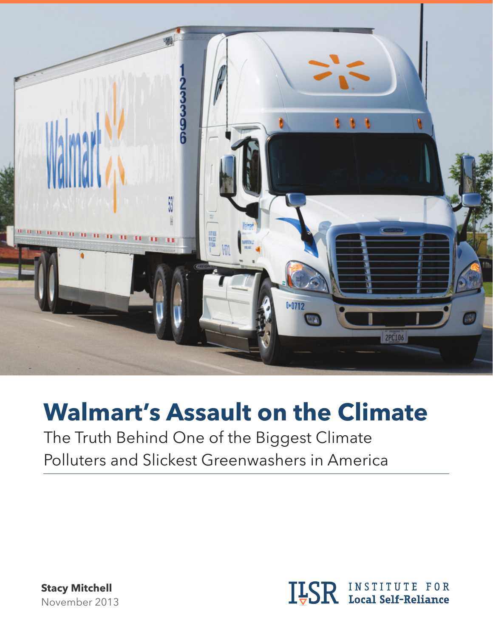

# **Walmart's Assault on the Climate**

The Truth Behind One of the Biggest Climate Polluters and Slickest Greenwashers in America

**Stacy Mitchell** November 2013

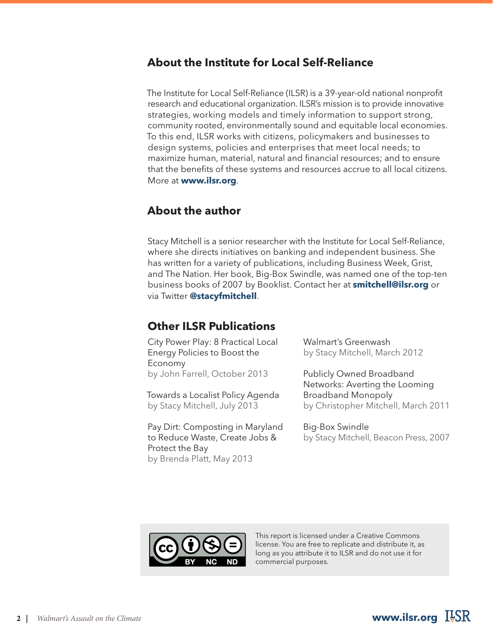### **About the Institute for Local Self-Reliance**

The Institute for Local Self-Reliance (ILSR) is a 39-year-old national nonprofit research and educational organization. ILSR's mission is to provide innovative strategies, working models and timely information to support strong, community rooted, environmentally sound and equitable local economies. To this end, ILSR works with citizens, policymakers and businesses to design systems, policies and enterprises that meet local needs; to maximize human, material, natural and financial resources; and to ensure that the benefits of these systems and resources accrue to all local citizens. More at **www.ilsr.org**.

#### **About the author**

Stacy Mitchell is a senior researcher with the Institute for Local Self-Reliance, where she directs initiatives on banking and independent business. She has written for a variety of publications, including Business Week, Grist, and The Nation. Her book, Big-Box Swindle, was named one of the top-ten business books of 2007 by Booklist. Contact her at **smitchell@ilsr.org** or via Twitter **@stacyfmitchell**.

#### **Other ILSR Publications**

City Power Play: 8 Practical Local Energy Policies to Boost the Economy by John Farrell, October 2013

Towards a Localist Policy Agenda by Stacy Mitchell, July 2013

Pay Dirt: Composting in Maryland to Reduce Waste, Create Jobs & Protect the Bay by Brenda Platt, May 2013

Walmart's Greenwash by Stacy Mitchell, March 2012

Publicly Owned Broadband Networks: Averting the Looming Broadband Monopoly by Christopher Mitchell, March 2011

Big-Box Swindle by Stacy Mitchell, Beacon Press, 2007



This report is licensed under a Creative Commons license. You are free to replicate and distribute it, as long as you attribute it to ILSR and do not use it for commercial purposes.

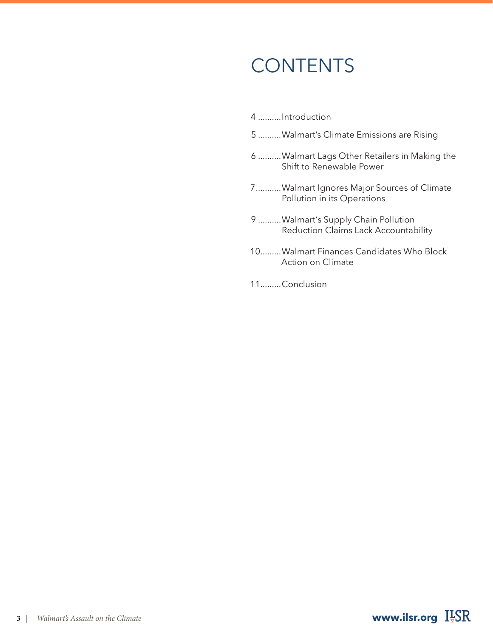# **CONTENTS**

- 4 ..........Introduction
- 5 ..........Walmart's Climate Emissions are Rising
- 6 ..........Walmart Lags Other Retailers in Making the Shift to Renewable Power
- 7 ...........Walmart Ignores Major Sources of Climate Pollution in its Operations
- 9 ..........Walmart's Supply Chain Pollution Reduction Claims Lack Accountability
- 10 .........Walmart Finances Candidates Who Block Action on Climate
- 11 .........Conclusion

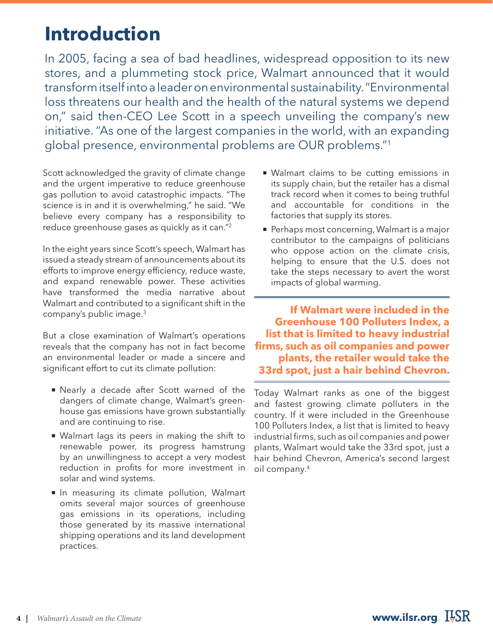### **Introduction**

In 2005, facing a sea of bad headlines, widespread opposition to its new stores, and a plummeting stock price, Walmart announced that it would transform itself into a leader on environmental sustainability. "Environmental loss threatens our health and the health of the natural systems we depend on," said then-CEO Lee Scott in a speech unveiling the company's new initiative. "As one of the largest companies in the world, with an expanding global presence, environmental problems are OUR problems."1

Scott acknowledged the gravity of climate change and the urgent imperative to reduce greenhouse gas pollution to avoid catastrophic impacts. "The science is in and it is overwhelming," he said. "We believe every company has a responsibility to reduce greenhouse gases as quickly as it can."2

In the eight years since Scott's speech, Walmart has issued a steady stream of announcements about its efforts to improve energy efficiency, reduce waste, and expand renewable power. These activities have transformed the media narrative about Walmart and contributed to a significant shift in the company's public image.3

But a close examination of Walmart's operations reveals that the company has not in fact become an environmental leader or made a sincere and significant effort to cut its climate pollution:

- Nearly a decade after Scott warned of the dangers of climate change, Walmart's greenhouse gas emissions have grown substantially and are continuing to rise.
- $\blacksquare$  Walmart lags its peers in making the shift to renewable power, its progress hamstrung by an unwillingness to accept a very modest reduction in profits for more investment in solar and wind systems.
- In measuring its climate pollution, Walmart omits several major sources of greenhouse gas emissions in its operations, including those generated by its massive international shipping operations and its land development practices.
- Walmart claims to be cutting emissions in its supply chain, but the retailer has a dismal track record when it comes to being truthful and accountable for conditions in the factories that supply its stores.
- Perhaps most concerning, Walmart is a major contributor to the campaigns of politicians who oppose action on the climate crisis, helping to ensure that the U.S. does not take the steps necessary to avert the worst impacts of global warming.

**If Walmart were included in the Greenhouse 100 Polluters Index, a list that is limited to heavy industrial firms, such as oil companies and power plants, the retailer would take the 33rd spot, just a hair behind Chevron.**

Today Walmart ranks as one of the biggest and fastest growing climate polluters in the country. If it were included in the Greenhouse 100 Polluters Index, a list that is limited to heavy industrial firms, such as oil companies and power plants, Walmart would take the 33rd spot, just a hair behind Chevron, America's second largest oil company.4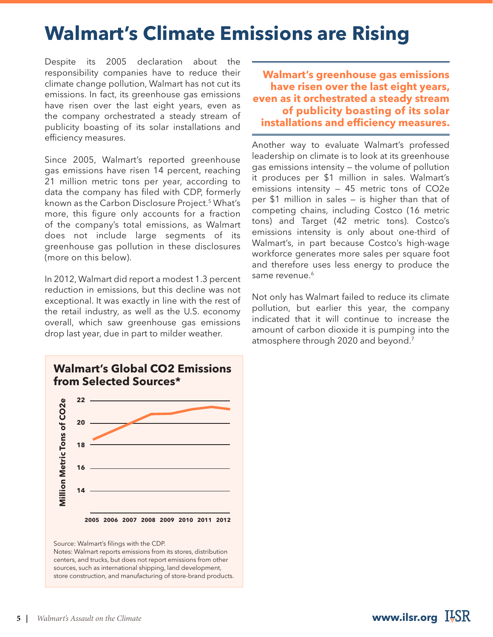### **Walmart's Climate Emissions are Rising**

Despite its 2005 declaration about the responsibility companies have to reduce their climate change pollution, Walmart has not cut its emissions. In fact, its greenhouse gas emissions have risen over the last eight years, even as the company orchestrated a steady stream of publicity boasting of its solar installations and efficiency measures.

Since 2005, Walmart's reported greenhouse gas emissions have risen 14 percent, reaching 21 million metric tons per year, according to data the company has filed with CDP, formerly known as the Carbon Disclosure Project.5 What's more, this figure only accounts for a fraction of the company's total emissions, as Walmart does not include large segments of its greenhouse gas pollution in these disclosures (more on this below).

In 2012, Walmart did report a modest 1.3 percent reduction in emissions, but this decline was not exceptional. It was exactly in line with the rest of the retail industry, as well as the U.S. economy overall, which saw greenhouse gas emissions drop last year, due in part to milder weather.



Source: Walmart's filings with the CDP.

Notes: Walmart reports emissions from its stores, distribution centers, and trucks, but does not report emissions from other sources, such as international shipping, land development, store construction, and manufacturing of store-brand products.

**Walmart's greenhouse gas emissions have risen over the last eight years, even as it orchestrated a steady stream of publicity boasting of its solar installations and efficiency measures.** 

Another way to evaluate Walmart's professed leadership on climate is to look at its greenhouse gas emissions intensity — the volume of pollution it produces per \$1 million in sales. Walmart's emissions intensity — 45 metric tons of CO2e per \$1 million in sales — is higher than that of competing chains, including Costco (16 metric tons) and Target (42 metric tons). Costco's emissions intensity is only about one-third of Walmart's, in part because Costco's high-wage workforce generates more sales per square foot and therefore uses less energy to produce the same revenue.<sup>6</sup>

Not only has Walmart failed to reduce its climate pollution, but earlier this year, the company indicated that it will continue to increase the amount of carbon dioxide it is pumping into the atmosphere through 2020 and beyond.7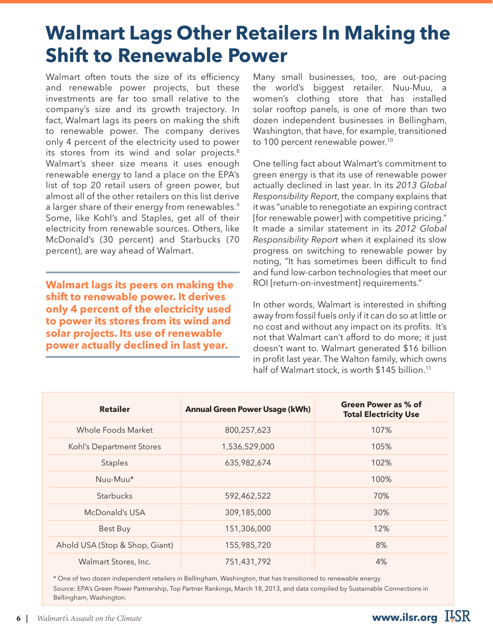### **Walmart Lags Other Retailers In Making the Shift to Renewable Power**

Walmart often touts the size of its efficiency and renewable power projects, but these investments are far too small relative to the company's size and its growth trajectory. In fact, Walmart lags its peers on making the shift to renewable power. The company derives only 4 percent of the electricity used to power its stores from its wind and solar projects.<sup>8</sup> Walmart's sheer size means it uses enough renewable energy to land a place on the EPA's list of top 20 retail users of green power, but almost all of the other retailers on this list derive a larger share of their energy from renewables.<sup>9</sup> Some, like Kohl's and Staples, get all of their electricity from renewable sources. Others, like McDonald's (30 percent) and Starbucks (70 percent), are way ahead of Walmart.

**Walmart lags its peers on making the shift to renewable power. It derives only 4 percent of the electricity used to power its stores from its wind and solar projects. Its use of renewable power actually declined in last year.** 

Many small businesses, too, are out-pacing the world's biggest retailer. Nuu-Muu, a women's clothing store that has installed solar rooftop panels, is one of more than two dozen independent businesses in Bellingham, Washington, that have, for example, transitioned to 100 percent renewable power.<sup>10</sup>

One telling fact about Walmart's commitment to green energy is that its use of renewable power actually declined in last year. In its *2013 Global Responsibility Report*, the company explains that it was "unable to renegotiate an expiring contract [for renewable power] with competitive pricing." It made a similar statement in its *2012 Global Responsibility Report* when it explained its slow progress on switching to renewable power by noting, "It has sometimes been difficult to find and fund low-carbon technologies that meet our ROI [return-on-investment] requirements."

In other words, Walmart is interested in shifting away from fossil fuels only if it can do so at little or no cost and without any impact on its profits. It's not that Walmart can't afford to do more; it just doesn't want to. Walmart generated \$16 billion in profit last year. The Walton family, which owns half of Walmart stock, is worth \$145 billion.<sup>11</sup>

| <b>Retailer</b>                | <b>Annual Green Power Usage (kWh)</b> | Green Power as % of<br><b>Total Electricity Use</b> |
|--------------------------------|---------------------------------------|-----------------------------------------------------|
| Whole Foods Market             | 800,257,623                           | 107%                                                |
| Kohl's Department Stores       | 1,536,529,000                         | 105%                                                |
| <b>Staples</b>                 | 635,982,674                           | 102%                                                |
| Nuu-Muu*                       |                                       | 100%                                                |
| Starbucks                      | 592,462,522                           | 70%                                                 |
| McDonald's USA                 | 309,185,000                           | 30%                                                 |
| Best Buy                       | 151,306,000                           | 12%                                                 |
| Ahold USA (Stop & Shop, Giant) | 155,985,720                           | 8%                                                  |
| Walmart Stores, Inc.           | 751,431,792                           | 4%                                                  |

\* One of two dozen independent retailers in Bellingham, Washington, that has transitioned to renewable energy Source: EPA's Green Power Partnership, Top Partner Rankings, March 18, 2013, and data compiled by Sustainable Connections in Bellingham, Washington.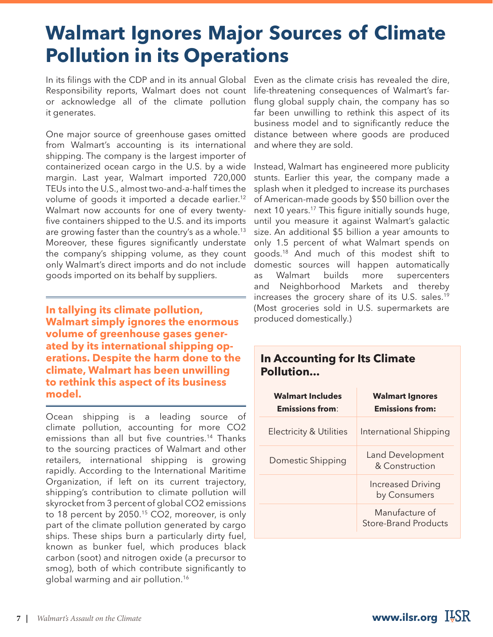## **Walmart Ignores Major Sources of Climate Pollution in its Operations**

In its filings with the CDP and in its annual Global Even as the climate crisis has revealed the dire, Responsibility reports, Walmart does not count or acknowledge all of the climate pollution it generates.

One major source of greenhouse gases omitted from Walmart's accounting is its international shipping. The company is the largest importer of containerized ocean cargo in the U.S. by a wide margin. Last year, Walmart imported 720,000 TEUs into the U.S., almost two-and-a-half times the volume of goods it imported a decade earlier.12 Walmart now accounts for one of every twentyfive containers shipped to the U.S. and its imports are growing faster than the country's as a whole.13 Moreover, these figures significantly understate the company's shipping volume, as they count only Walmart's direct imports and do not include goods imported on its behalf by suppliers.

**In tallying its climate pollution, Walmart simply ignores the enormous volume of greenhouse gases generated by its international shipping operations. Despite the harm done to the climate, Walmart has been unwilling to rethink this aspect of its business model.**

Ocean shipping is a leading source of climate pollution, accounting for more CO2 emissions than all but five countries.<sup>14</sup> Thanks to the sourcing practices of Walmart and other retailers, international shipping is growing rapidly. According to the International Maritime Organization, if left on its current trajectory, shipping's contribution to climate pollution will skyrocket from 3 percent of global CO2 emissions to 18 percent by 2050.<sup>15</sup> CO2, moreover, is only part of the climate pollution generated by cargo ships. These ships burn a particularly dirty fuel, known as bunker fuel, which produces black carbon (soot) and nitrogen oxide (a precursor to smog), both of which contribute significantly to global warming and air pollution.16

life-threatening consequences of Walmart's farflung global supply chain, the company has so far been unwilling to rethink this aspect of its business model and to significantly reduce the distance between where goods are produced and where they are sold.

Instead, Walmart has engineered more publicity stunts. Earlier this year, the company made a splash when it pledged to increase its purchases of American-made goods by \$50 billion over the next 10 years.17 This figure initially sounds huge, until you measure it against Walmart's galactic size. An additional \$5 billion a year amounts to only 1.5 percent of what Walmart spends on goods.18 And much of this modest shift to domestic sources will happen automatically as Walmart builds more supercenters and Neighborhood Markets and thereby increases the grocery share of its U.S. sales.19 (Most groceries sold in U.S. supermarkets are produced domestically.)

#### **In Accounting for Its Climate Pollution...**

| <b>Walmart Includes</b><br><b>Emissions from:</b> | <b>Walmart Ignores</b><br><b>Emissions from:</b> |  |
|---------------------------------------------------|--------------------------------------------------|--|
| <b>Electricity &amp; Utilities</b>                | International Shipping                           |  |
| Domestic Shipping                                 | Land Development<br>& Construction               |  |
|                                                   | <b>Increased Driving</b><br>by Consumers         |  |
|                                                   | Manufacture of<br><b>Store-Brand Products</b>    |  |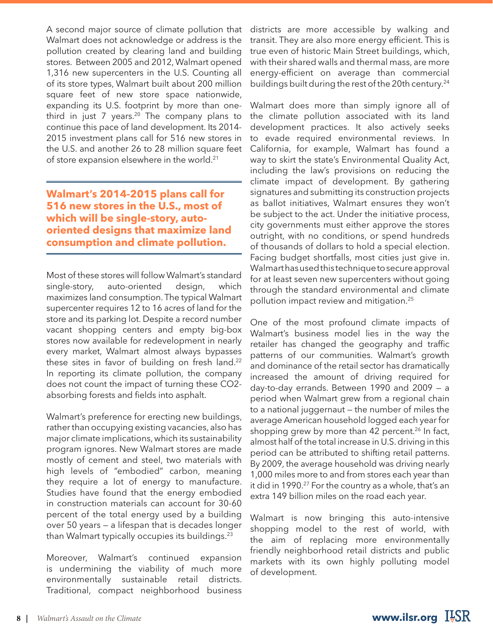A second major source of climate pollution that Walmart does not acknowledge or address is the pollution created by clearing land and building stores. Between 2005 and 2012, Walmart opened 1,316 new supercenters in the U.S. Counting all of its store types, Walmart built about 200 million square feet of new store space nationwide, expanding its U.S. footprint by more than onethird in just  $7$  years.<sup>20</sup> The company plans to continue this pace of land development. Its 2014- 2015 investment plans call for 516 new stores in the U.S. and another 26 to 28 million square feet of store expansion elsewhere in the world.<sup>21</sup>

**Walmart's 2014-2015 plans call for 516 new stores in the U.S., most of which will be single-story, autooriented designs that maximize land consumption and climate pollution.**

Most of these stores will follow Walmart's standard single-story, auto-oriented design, which maximizes land consumption. The typical Walmart supercenter requires 12 to 16 acres of land for the store and its parking lot. Despite a record number vacant shopping centers and empty big-box stores now available for redevelopment in nearly every market, Walmart almost always bypasses these sites in favor of building on fresh land.<sup>22</sup> In reporting its climate pollution, the company does not count the impact of turning these CO2 absorbing forests and fields into asphalt.

Walmart's preference for erecting new buildings, rather than occupying existing vacancies, also has major climate implications, which its sustainability program ignores. New Walmart stores are made mostly of cement and steel, two materials with high levels of "embodied" carbon, meaning they require a lot of energy to manufacture. Studies have found that the energy embodied in construction materials can account for 30-60 percent of the total energy used by a building over 50 years — a lifespan that is decades longer than Walmart typically occupies its buildings.23

Moreover, Walmart's continued expansion is undermining the viability of much more environmentally sustainable retail districts. Traditional, compact neighborhood business

districts are more accessible by walking and transit. They are also more energy efficient. This is true even of historic Main Street buildings, which, with their shared walls and thermal mass, are more energy-efficient on average than commercial buildings built during the rest of the 20th century.<sup>24</sup>

Walmart does more than simply ignore all of the climate pollution associated with its land development practices. It also actively seeks to evade required environmental reviews. In California, for example, Walmart has found a way to skirt the state's Environmental Quality Act, including the law's provisions on reducing the climate impact of development. By gathering signatures and submitting its construction projects as ballot initiatives, Walmart ensures they won't be subject to the act. Under the initiative process, city governments must either approve the stores outright, with no conditions, or spend hundreds of thousands of dollars to hold a special election. Facing budget shortfalls, most cities just give in. Walmart has used this technique to secure approval for at least seven new supercenters without going through the standard environmental and climate pollution impact review and mitigation.25

One of the most profound climate impacts of Walmart's business model lies in the way the retailer has changed the geography and traffic patterns of our communities. Walmart's growth and dominance of the retail sector has dramatically increased the amount of driving required for day-to-day errands. Between 1990 and 2009 — a period when Walmart grew from a regional chain to a national juggernaut — the number of miles the average American household logged each year for shopping grew by more than 42 percent.<sup>26</sup> In fact, almost half of the total increase in U.S. driving in this period can be attributed to shifting retail patterns. By 2009, the average household was driving nearly 1,000 miles more to and from stores each year than it did in 1990.<sup>27</sup> For the country as a whole, that's an extra 149 billion miles on the road each year.

Walmart is now bringing this auto-intensive shopping model to the rest of world, with the aim of replacing more environmentally friendly neighborhood retail districts and public markets with its own highly polluting model of development.

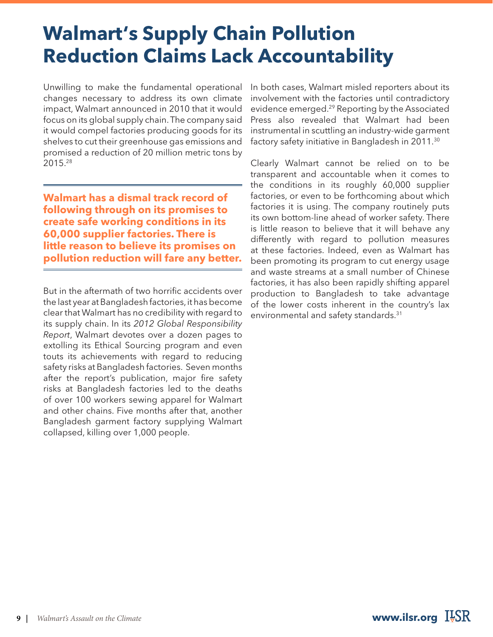# **Walmart's Supply Chain Pollution Reduction Claims Lack Accountability**

Unwilling to make the fundamental operational changes necessary to address its own climate impact, Walmart announced in 2010 that it would focus on its global supply chain. The company said it would compel factories producing goods for its shelves to cut their greenhouse gas emissions and promised a reduction of 20 million metric tons by 2015.28

**Walmart has a dismal track record of following through on its promises to create safe working conditions in its 60,000 supplier factories. There is little reason to believe its promises on pollution reduction will fare any better.**

But in the aftermath of two horrific accidents over the last year at Bangladesh factories, it has become clear that Walmart has no credibility with regard to its supply chain. In its *2012 Global Responsibility Report*, Walmart devotes over a dozen pages to extolling its Ethical Sourcing program and even touts its achievements with regard to reducing safety risks at Bangladesh factories. Seven months after the report's publication, major fire safety risks at Bangladesh factories led to the deaths of over 100 workers sewing apparel for Walmart and other chains. Five months after that, another Bangladesh garment factory supplying Walmart collapsed, killing over 1,000 people.

In both cases, Walmart misled reporters about its involvement with the factories until contradictory evidence emerged.29 Reporting by the Associated Press also revealed that Walmart had been instrumental in scuttling an industry-wide garment factory safety initiative in Bangladesh in 2011.30

Clearly Walmart cannot be relied on to be transparent and accountable when it comes to the conditions in its roughly 60,000 supplier factories, or even to be forthcoming about which factories it is using. The company routinely puts its own bottom-line ahead of worker safety. There is little reason to believe that it will behave any differently with regard to pollution measures at these factories. Indeed, even as Walmart has been promoting its program to cut energy usage and waste streams at a small number of Chinese factories, it has also been rapidly shifting apparel production to Bangladesh to take advantage of the lower costs inherent in the country's lax environmental and safety standards.31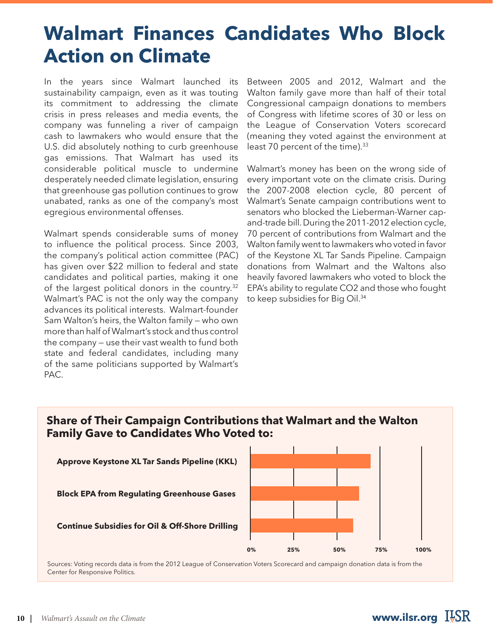# **Walmart Finances Candidates Who Block Action on Climate**

In the years since Walmart launched its sustainability campaign, even as it was touting its commitment to addressing the climate crisis in press releases and media events, the company was funneling a river of campaign cash to lawmakers who would ensure that the U.S. did absolutely nothing to curb greenhouse gas emissions. That Walmart has used its considerable political muscle to undermine desperately needed climate legislation, ensuring that greenhouse gas pollution continues to grow unabated, ranks as one of the company's most egregious environmental offenses.

Walmart spends considerable sums of money to influence the political process. Since 2003, the company's political action committee (PAC) has given over \$22 million to federal and state candidates and political parties, making it one of the largest political donors in the country.<sup>32</sup> Walmart's PAC is not the only way the company advances its political interests. Walmart-founder Sam Walton's heirs, the Walton family — who own more than half of Walmart's stock and thus control the company — use their vast wealth to fund both state and federal candidates, including many of the same politicians supported by Walmart's PAC.

Between 2005 and 2012, Walmart and the Walton family gave more than half of their total Congressional campaign donations to members of Congress with lifetime scores of 30 or less on the League of Conservation Voters scorecard (meaning they voted against the environment at least 70 percent of the time).<sup>33</sup>

Walmart's money has been on the wrong side of every important vote on the climate crisis. During the 2007-2008 election cycle, 80 percent of Walmart's Senate campaign contributions went to senators who blocked the Lieberman-Warner capand-trade bill. During the 2011-2012 election cycle, 70 percent of contributions from Walmart and the Walton family went to lawmakers who voted in favor of the Keystone XL Tar Sands Pipeline. Campaign donations from Walmart and the Waltons also heavily favored lawmakers who voted to block the EPA's ability to regulate CO2 and those who fought to keep subsidies for Big Oil.<sup>34</sup>

#### **Share of Their Campaign Contributions that Walmart and the Walton Family Gave to Candidates Who Voted to:**



Center for Responsive Politics.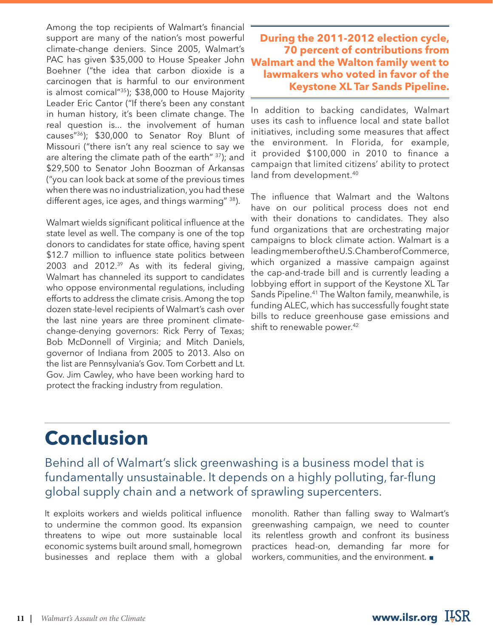Among the top recipients of Walmart's financial support are many of the nation's most powerful climate-change deniers. Since 2005, Walmart's PAC has given \$35,000 to House Speaker John Boehner ("the idea that carbon dioxide is a carcinogen that is harmful to our environment is almost comical"35); \$38,000 to House Majority Leader Eric Cantor ("If there's been any constant in human history, it's been climate change. The real question is... the involvement of human causes"36); \$30,000 to Senator Roy Blunt of Missouri ("there isn't any real science to say we are altering the climate path of the earth"  $37$ ); and \$29,500 to Senator John Boozman of Arkansas ("you can look back at some of the previous times when there was no industrialization, you had these different ages, ice ages, and things warming" 38).

Walmart wields significant political influence at the state level as well. The company is one of the top donors to candidates for state office, having spent \$12.7 million to influence state politics between 2003 and 2012.39 As with its federal giving, Walmart has channeled its support to candidates who oppose environmental regulations, including efforts to address the climate crisis. Among the top dozen state-level recipients of Walmart's cash over the last nine years are three prominent climatechange-denying governors: Rick Perry of Texas; Bob McDonnell of Virginia; and Mitch Daniels, governor of Indiana from 2005 to 2013. Also on the list are Pennsylvania's Gov. Tom Corbett and Lt. Gov. Jim Cawley, who have been working hard to protect the fracking industry from regulation.

**During the 2011-2012 election cycle, 70 percent of contributions from Walmart and the Walton family went to lawmakers who voted in favor of the Keystone XL Tar Sands Pipeline.**

In addition to backing candidates, Walmart uses its cash to influence local and state ballot initiatives, including some measures that affect the environment. In Florida, for example, it provided \$100,000 in 2010 to finance a campaign that limited citizens' ability to protect land from development.<sup>40</sup>

The influence that Walmart and the Waltons have on our political process does not end with their donations to candidates. They also fund organizations that are orchestrating major campaigns to block climate action. Walmart is a leading member of the U.S. Chamber of Commerce, which organized a massive campaign against the cap-and-trade bill and is currently leading a lobbying effort in support of the Keystone XL Tar Sands Pipeline.<sup>41</sup> The Walton family, meanwhile, is funding ALEC, which has successfully fought state bills to reduce greenhouse gase emissions and shift to renewable power.<sup>42</sup>

# **Conclusion**

Behind all of Walmart's slick greenwashing is a business model that is fundamentally unsustainable. It depends on a highly polluting, far-flung global supply chain and a network of sprawling supercenters.

It exploits workers and wields political influence to undermine the common good. Its expansion threatens to wipe out more sustainable local economic systems built around small, homegrown businesses and replace them with a global monolith. Rather than falling sway to Walmart's greenwashing campaign, we need to counter its relentless growth and confront its business practices head-on, demanding far more for workers, communities, and the environment. ■

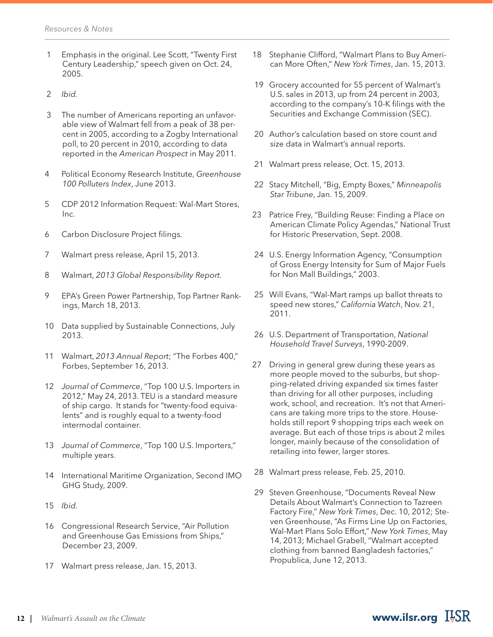- 1 Emphasis in the original. Lee Scott, "Twenty First Century Leadership," speech given on Oct. 24, 2005.
- 2 *Ibid.*
- 3 The number of Americans reporting an unfavorable view of Walmart fell from a peak of 38 percent in 2005, according to a Zogby International poll, to 20 percent in 2010, according to data reported in the *American Prospect* in May 2011*.*
- 4 Political Economy Research Institute, *Greenhouse 100 Polluters Index*, June 2013.
- 5 CDP 2012 Information Request: Wal-Mart Stores, Inc.
- 6 Carbon Disclosure Project filings.
- 7 Walmart press release, April 15, 2013.
- 8 Walmart, *2013 Global Responsibility Report.*
- 9 EPA's Green Power Partnership, Top Partner Rankings, March 18, 2013.
- 10 Data supplied by Sustainable Connections, July 2013.
- 11 Walmart, *2013 Annual Report*; "The Forbes 400," Forbes, September 16, 2013.
- 12 *Journal of Commerce*, "Top 100 U.S. Importers in 2012," May 24, 2013. TEU is a standard measure of ship cargo. It stands for "twenty-food equivalents" and is roughly equal to a twenty-food intermodal container.
- 13 *Journal of Commerce*, "Top 100 U.S. Importers," multiple years.
- 14 International Maritime Organization, Second IMO GHG Study, 2009.
- 15 *Ibid.*
- 16 Congressional Research Service, "Air Pollution and Greenhouse Gas Emissions from Ships," December 23, 2009.
- 17 Walmart press release, Jan. 15, 2013.
- 18 Stephanie Clifford, "Walmart Plans to Buy American More Often," *New York Times*, Jan. 15, 2013.
- 19 Grocery accounted for 55 percent of Walmart's U.S. sales in 2013, up from 24 percent in 2003, according to the company's 10-K filings with the Securities and Exchange Commission (SEC).
- 20 Author's calculation based on store count and size data in Walmart's annual reports.
- 21 Walmart press release, Oct. 15, 2013.
- 22 Stacy Mitchell, "Big, Empty Boxes," *Minneapolis Star Tribune*, Jan. 15, 2009.
- 23 Patrice Frey, "Building Reuse: Finding a Place on American Climate Policy Agendas," National Trust for Historic Preservation, Sept. 2008.
- 24 U.S. Energy Information Agency, "Consumption of Gross Energy Intensity for Sum of Major Fuels for Non Mall Buildings," 2003.
- 25 Will Evans, "Wal-Mart ramps up ballot threats to speed new stores," *California Watch*, Nov. 21, 2011.
- 26 U.S. Department of Transportation, *National Household Travel Surveys*, 1990-2009.
- 27 Driving in general grew during these years as more people moved to the suburbs, but shopping-related driving expanded six times faster than driving for all other purposes, including work, school, and recreation. It's not that Americans are taking more trips to the store. Households still report 9 shopping trips each week on average. But each of those trips is about 2 miles longer, mainly because of the consolidation of retailing into fewer, larger stores.
- 28 Walmart press release, Feb. 25, 2010.
- 29 Steven Greenhouse, "Documents Reveal New Details About Walmart's Connection to Tazreen Factory Fire," *New York Times*, Dec. 10, 2012; Steven Greenhouse, "As Firms Line Up on Factories, Wal-Mart Plans Solo Effort," *New York Times*, May 14, 2013; Michael Grabell, "Walmart accepted clothing from banned Bangladesh factories," Propublica, June 12, 2013.